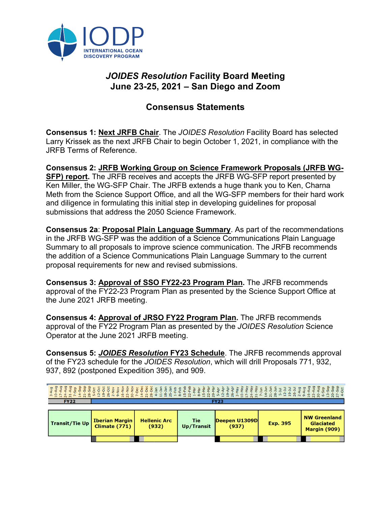

## *JOIDES Resolution* **Facility Board Meeting June 23-25, 2021 – San Diego and Zoom**

## **Consensus Statements**

**Consensus 1: Next JRFB Chair**. The *JOIDES Resolution* Facility Board has selected Larry Krissek as the next JRFB Chair to begin October 1, 2021, in compliance with the JRFB Terms of Reference.

**Consensus 2: JRFB Working Group on Science Framework Proposals (JRFB WG-SFP) report.** The JRFB receives and accepts the JRFB WG-SFP report presented by Ken Miller, the WG-SFP Chair. The JRFB extends a huge thank you to Ken, Charna Meth from the Science Support Office, and all the WG-SFP members for their hard work and diligence in formulating this initial step in developing guidelines for proposal submissions that address the 2050 Science Framework.

**Consensus 2a**: **Proposal Plain Language Summary**. As part of the recommendations in the JRFB WG-SFP was the addition of a Science Communications Plain Language Summary to all proposals to improve science communication. The JRFB recommends the addition of a Science Communications Plain Language Summary to the current proposal requirements for new and revised submissions.

**Consensus 3: Approval of SSO FY22-23 Program Plan.** The JRFB recommends approval of the FY22-23 Program Plan as presented by the Science Support Office at the June 2021 JRFB meeting.

**Consensus 4: Approval of JRSO FY22 Program Plan.** The JRFB recommends approval of the FY22 Program Plan as presented by the *JOIDES Resolution* Science Operator at the June 2021 JRFB meeting.

**Consensus 5:** *JOIDES Resolution* **FY23 Schedule**. The JRFB recommends approval of the FY23 schedule for the *JOIDES Resolution*, which will drill Proposals 771, 932, 937, 892 (postponed Expedition 395), and 909.

## 

| Transit/Tie Up | <b>Iberian Margin</b><br><b>Climate (771)</b> | <b>Hellenic Arc</b><br>(932) | Tie<br>Up/Transit | Deepen U1309D<br>(937) | <b>Exp. 395</b> | NW Greenland<br><b>Glaciated</b><br>Margin (909) |
|----------------|-----------------------------------------------|------------------------------|-------------------|------------------------|-----------------|--------------------------------------------------|
|                |                                               |                              |                   |                        |                 |                                                  |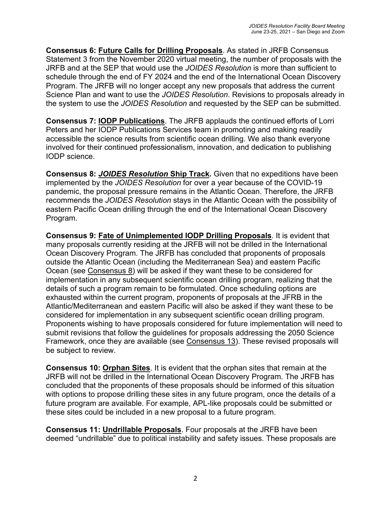**Consensus 6: Future Calls for Drilling Proposals**. As stated in JRFB Consensus Statement 3 from the November 2020 virtual meeting, the number of proposals with the JRFB and at the SEP that would use the *JOIDES Resolution* is more than sufficient to schedule through the end of FY 2024 and the end of the International Ocean Discovery Program. The JRFB will no longer accept any new proposals that address the current Science Plan and want to use the *JOIDES Resolution*. Revisions to proposals already in the system to use the *JOIDES Resolution* and requested by the SEP can be submitted.

**Consensus 7: IODP Publications**. The JRFB applauds the continued efforts of Lorri Peters and her IODP Publications Services team in promoting and making readily accessible the science results from scientific ocean drilling. We also thank everyone involved for their continued professionalism, innovation, and dedication to publishing IODP science.

**Consensus 8:** *JOIDES Resolution* **Ship Track.** Given that no expeditions have been implemented by the *JOIDES Resolution* for over a year because of the COVID-19 pandemic, the proposal pressure remains in the Atlantic Ocean. Therefore, the JRFB recommends the *JOIDES Resolution* stays in the Atlantic Ocean with the possibility of eastern Pacific Ocean drilling through the end of the International Ocean Discovery Program.

**Consensus 9: Fate of Unimplemented IODP Drilling Proposals**. It is evident that many proposals currently residing at the JRFB will not be drilled in the International Ocean Discovery Program. The JRFB has concluded that proponents of proposals outside the Atlantic Ocean (including the Mediterranean Sea) and eastern Pacific Ocean (see Consensus 8) will be asked if they want these to be considered for implementation in any subsequent scientific ocean drilling program, realizing that the details of such a program remain to be formulated. Once scheduling options are exhausted within the current program, proponents of proposals at the JFRB in the Atlantic/Mediterranean and eastern Pacific will also be asked if they want these to be considered for implementation in any subsequent scientific ocean drilling program. Proponents wishing to have proposals considered for future implementation will need to submit revisions that follow the guidelines for proposals addressing the 2050 Science Framework, once they are available (see Consensus 13). These revised proposals will be subject to review.

**Consensus 10: Orphan Sites**. It is evident that the orphan sites that remain at the JRFB will not be drilled in the International Ocean Discovery Program. The JRFB has concluded that the proponents of these proposals should be informed of this situation with options to propose drilling these sites in any future program, once the details of a future program are available. For example, APL-like proposals could be submitted or these sites could be included in a new proposal to a future program.

**Consensus 11: Undrillable Proposals**. Four proposals at the JRFB have been deemed "undrillable" due to political instability and safety issues. These proposals are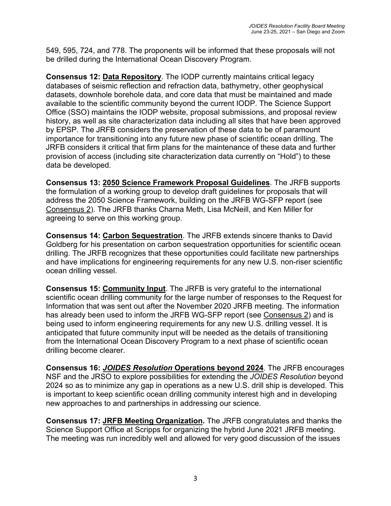549, 595, 724, and 778. The proponents will be informed that these proposals will not be drilled during the International Ocean Discovery Program.

**Consensus 12: Data Repository**. The IODP currently maintains critical legacy databases of seismic reflection and refraction data, bathymetry, other geophysical datasets, downhole borehole data, and core data that must be maintained and made available to the scientific community beyond the current IODP. The Science Support Office (SSO) maintains the IODP website, proposal submissions, and proposal review history, as well as site characterization data including all sites that have been approved by EPSP. The JRFB considers the preservation of these data to be of paramount importance for transitioning into any future new phase of scientific ocean drilling. The JRFB considers it critical that firm plans for the maintenance of these data and further provision of access (including site characterization data currently on "Hold") to these data be developed.

**Consensus 13: 2050 Science Framework Proposal Guidelines**. The JRFB supports the formulation of a working group to develop draft guidelines for proposals that will address the 2050 Science Framework, building on the JRFB WG-SFP report (see Consensus 2). The JRFB thanks Charna Meth, Lisa McNeill, and Ken Miller for agreeing to serve on this working group.

**Consensus 14: Carbon Sequestration**. The JRFB extends sincere thanks to David Goldberg for his presentation on carbon sequestration opportunities for scientific ocean drilling. The JRFB recognizes that these opportunities could facilitate new partnerships and have implications for engineering requirements for any new U.S. non-riser scientific ocean drilling vessel.

**Consensus 15: Community Input**. The JRFB is very grateful to the international scientific ocean drilling community for the large number of responses to the Request for Information that was sent out after the November 2020 JRFB meeting. The information has already been used to inform the JRFB WG-SFP report (see Consensus 2) and is being used to inform engineering requirements for any new U.S. drilling vessel. It is anticipated that future community input will be needed as the details of transitioning from the International Ocean Discovery Program to a next phase of scientific ocean drilling become clearer.

**Consensus 16:** *JOIDES Resolution* **Operations beyond 2024**. The JRFB encourages NSF and the JRSO to explore possibilities for extending the *JOIDES Resolution* beyond 2024 so as to minimize any gap in operations as a new U.S. drill ship is developed. This is important to keep scientific ocean drilling community interest high and in developing new approaches to and partnerships in addressing our science.

**Consensus 17: JRFB Meeting Organization.** The JRFB congratulates and thanks the Science Support Office at Scripps for organizing the hybrid June 2021 JRFB meeting. The meeting was run incredibly well and allowed for very good discussion of the issues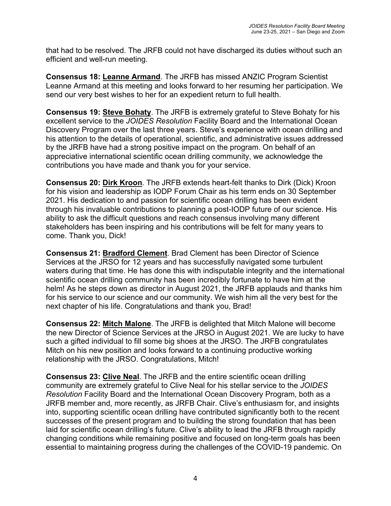that had to be resolved. The JRFB could not have discharged its duties without such an efficient and well-run meeting.

**Consensus 18: Leanne Armand**. The JRFB has missed ANZIC Program Scientist Leanne Armand at this meeting and looks forward to her resuming her participation. We send our very best wishes to her for an expedient return to full health.

**Consensus 19: Steve Bohaty**. The JRFB is extremely grateful to Steve Bohaty for his excellent service to the *JOIDES Resolution* Facility Board and the International Ocean Discovery Program over the last three years. Steve's experience with ocean drilling and his attention to the details of operational, scientific, and administrative issues addressed by the JRFB have had a strong positive impact on the program. On behalf of an appreciative international scientific ocean drilling community, we acknowledge the contributions you have made and thank you for your service.

**Consensus 20: Dirk Kroon**. The JRFB extends heart-felt thanks to Dirk (Dick) Kroon for his vision and leadership as IODP Forum Chair as his term ends on 30 September 2021. His dedication to and passion for scientific ocean drilling has been evident through his invaluable contributions to planning a post-IODP future of our science. His ability to ask the difficult questions and reach consensus involving many different stakeholders has been inspiring and his contributions will be felt for many years to come. Thank you, Dick!

**Consensus 21: Bradford Clement**. Brad Clement has been Director of Science Services at the JRSO for 12 years and has successfully navigated some turbulent waters during that time. He has done this with indisputable integrity and the international scientific ocean drilling community has been incredibly fortunate to have him at the helm! As he steps down as director in August 2021, the JRFB applauds and thanks him for his service to our science and our community. We wish him all the very best for the next chapter of his life. Congratulations and thank you, Brad!

**Consensus 22: Mitch Malone**. The JRFB is delighted that Mitch Malone will become the new Director of Science Services at the JRSO in August 2021. We are lucky to have such a gifted individual to fill some big shoes at the JRSO. The JRFB congratulates Mitch on his new position and looks forward to a continuing productive working relationship with the JRSO. Congratulations, Mitch!

**Consensus 23: Clive Neal**. The JRFB and the entire scientific ocean drilling community are extremely grateful to Clive Neal for his stellar service to the *JOIDES Resolution* Facility Board and the International Ocean Discovery Program, both as a JRFB member and, more recently, as JRFB Chair. Clive's enthusiasm for, and insights into, supporting scientific ocean drilling have contributed significantly both to the recent successes of the present program and to building the strong foundation that has been laid for scientific ocean drilling's future. Clive's ability to lead the JRFB through rapidly changing conditions while remaining positive and focused on long-term goals has been essential to maintaining progress during the challenges of the COVID-19 pandemic. On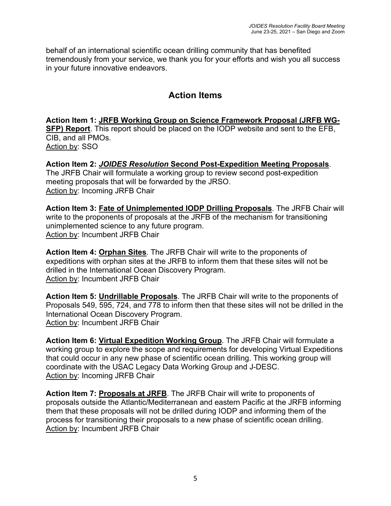behalf of an international scientific ocean drilling community that has benefited tremendously from your service, we thank you for your efforts and wish you all success in your future innovative endeavors.

## **Action Items**

**Action Item 1: JRFB Working Group on Science Framework Proposal (JRFB WG-SFP) Report**. This report should be placed on the IODP website and sent to the EFB, CIB, and all PMOs. Action by: SSO

**Action Item 2:** *JOIDES Resolution* **Second Post-Expedition Meeting Proposals**. The JRFB Chair will formulate a working group to review second post-expedition meeting proposals that will be forwarded by the JRSO. Action by: Incoming JRFB Chair

**Action Item 3: Fate of Unimplemented IODP Drilling Proposals**. The JRFB Chair will write to the proponents of proposals at the JRFB of the mechanism for transitioning unimplemented science to any future program. Action by: Incumbent JRFB Chair

**Action Item 4: Orphan Sites**. The JRFB Chair will write to the proponents of expeditions with orphan sites at the JRFB to inform them that these sites will not be drilled in the International Ocean Discovery Program. Action by: Incumbent JRFB Chair

**Action Item 5: Undrillable Proposals**. The JRFB Chair will write to the proponents of Proposals 549, 595, 724, and 778 to inform then that these sites will not be drilled in the International Ocean Discovery Program. Action by: Incumbent JRFB Chair

**Action Item 6: Virtual Expedition Working Group**. The JRFB Chair will formulate a working group to explore the scope and requirements for developing Virtual Expeditions that could occur in any new phase of scientific ocean drilling. This working group will coordinate with the USAC Legacy Data Working Group and J-DESC. Action by: Incoming JRFB Chair

**Action Item 7: Proposals at JRFB**. The JRFB Chair will write to proponents of proposals outside the Atlantic/Mediterranean and eastern Pacific at the JRFB informing them that these proposals will not be drilled during IODP and informing them of the process for transitioning their proposals to a new phase of scientific ocean drilling. Action by: Incumbent JRFB Chair